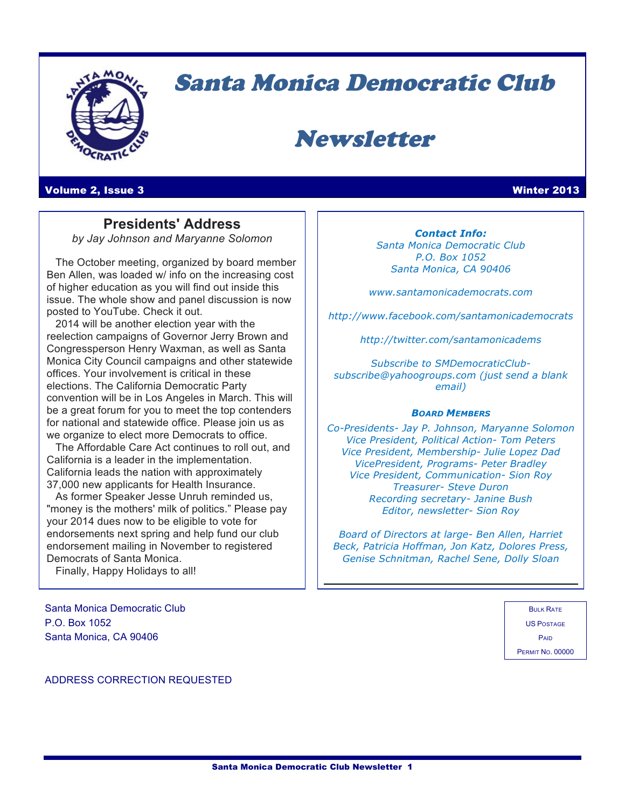

# Santa Monica Democratic Club

# Newsletter

#### Volume 2, Issue 3 Winter 2013

**Presidents' Address** *by Jay Johnson and Maryanne Solomon*

 The October meeting, organized by board member Ben Allen, was loaded w/ info on the increasing cost of higher education as you will find out inside this issue. The whole show and panel discussion is now posted to YouTube. Check it out.

 2014 will be another election year with the reelection campaigns of Governor Jerry Brown and Congressperson Henry Waxman, as well as Santa Monica City Council campaigns and other statewide offices. Your involvement is critical in these elections. The California Democratic Party convention will be in Los Angeles in March. This will be a great forum for you to meet the top contenders for national and statewide office. Please join us as we organize to elect more Democrats to office.

 The Affordable Care Act continues to roll out, and California is a leader in the implementation. California leads the nation with approximately 37,000 new applicants for Health Insurance.

 As former Speaker Jesse Unruh reminded us, "money is the mothers' milk of politics." Please pay your 2014 dues now to be eligible to vote for endorsements next spring and help fund our club endorsement mailing in November to registered Democrats of Santa Monica.

Finally, Happy Holidays to all!

Santa Monica Democratic Club P.O. Box 1052 Santa Monica, CA 90406

*Contact Info: Santa Monica Democratic Club P.O. Box 1052 Santa Monica, CA 90406*

*www.santamonicademocrats.com*

*http://www.facebook.com/santamonicademocrats*

*http://twitter.com/santamonicadems*

*Subscribe to SMDemocraticClubsubscribe@yahoogroups.com (just send a blank email)*

#### *BOARD MEMBERS*

*Co-Presidents- Jay P. Johnson, Maryanne Solomon Vice President, Political Action- Tom Peters Vice President, Membership- Julie Lopez Dad VicePresident, Programs- Peter Bradley Vice President, Communication- Sion Roy Treasurer- Steve Duron Recording secretary- Janine Bush Editor, newsletter- Sion Roy*

*Board of Directors at large- Ben Allen, Harriet Beck, Patricia Hoffman, Jon Katz, Dolores Press, Genise Schnitman, Rachel Sene, Dolly Sloan*

> BULK RATE US POSTAGE PAID PERMIT NO. 00000

ADDRESS CORRECTION REQUESTED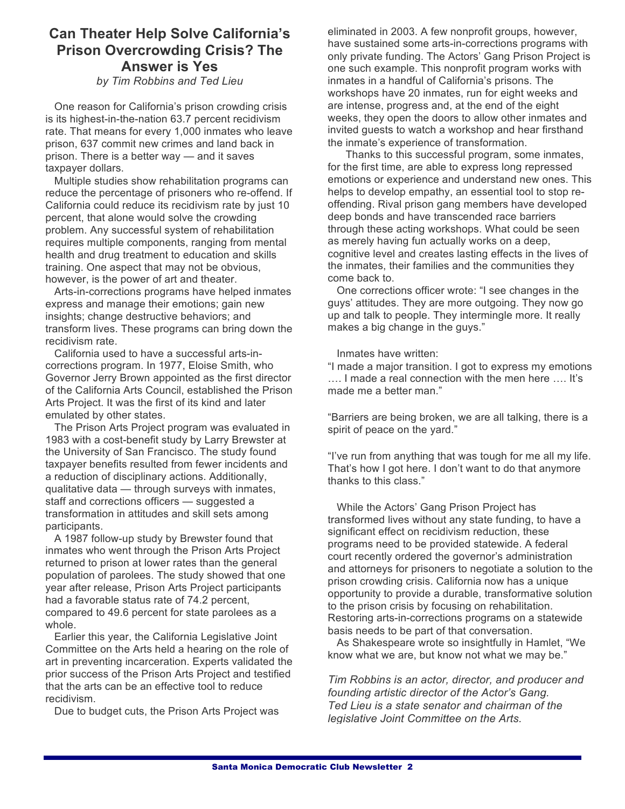### **Can Theater Help Solve California's Prison Overcrowding Crisis? The Answer is Yes**

### *by Tim Robbins and Ted Lieu*

 One reason for California's prison crowding crisis is its highest-in-the-nation 63.7 percent recidivism rate. That means for every 1,000 inmates who leave prison, 637 commit new crimes and land back in prison. There is a better way — and it saves taxpayer dollars.

 Multiple studies show rehabilitation programs can reduce the percentage of prisoners who re-offend. If California could reduce its recidivism rate by just 10 percent, that alone would solve the crowding problem. Any successful system of rehabilitation requires multiple components, ranging from mental health and drug treatment to education and skills training. One aspect that may not be obvious, however, is the power of art and theater.

 Arts-in-corrections programs have helped inmates express and manage their emotions; gain new insights; change destructive behaviors; and transform lives. These programs can bring down the recidivism rate.

 California used to have a successful arts-incorrections program. In 1977, Eloise Smith, who Governor Jerry Brown appointed as the first director of the California Arts Council, established the Prison Arts Project. It was the first of its kind and later emulated by other states.

 The Prison Arts Project program was evaluated in 1983 with a cost-benefit study by Larry Brewster at the University of San Francisco. The study found taxpayer benefits resulted from fewer incidents and a reduction of disciplinary actions. Additionally, qualitative data — through surveys with inmates, staff and corrections officers — suggested a transformation in attitudes and skill sets among participants.

 A 1987 follow-up study by Brewster found that inmates who went through the Prison Arts Project returned to prison at lower rates than the general population of parolees. The study showed that one year after release, Prison Arts Project participants had a favorable status rate of 74.2 percent, compared to 49.6 percent for state parolees as a whole.

 Earlier this year, the California Legislative Joint Committee on the Arts held a hearing on the role of art in preventing incarceration. Experts validated the prior success of the Prison Arts Project and testified that the arts can be an effective tool to reduce recidivism.

Due to budget cuts, the Prison Arts Project was

eliminated in 2003. A few nonprofit groups, however, have sustained some arts-in-corrections programs with only private funding. The Actors' Gang Prison Project is one such example. This nonprofit program works with inmates in a handful of California's prisons. The workshops have 20 inmates, run for eight weeks and are intense, progress and, at the end of the eight weeks, they open the doors to allow other inmates and invited guests to watch a workshop and hear firsthand the inmate's experience of transformation.

 Thanks to this successful program, some inmates, for the first time, are able to express long repressed emotions or experience and understand new ones. This helps to develop empathy, an essential tool to stop reoffending. Rival prison gang members have developed deep bonds and have transcended race barriers through these acting workshops. What could be seen as merely having fun actually works on a deep, cognitive level and creates lasting effects in the lives of the inmates, their families and the communities they come back to.

 One corrections officer wrote: "I see changes in the guys' attitudes. They are more outgoing. They now go up and talk to people. They intermingle more. It really makes a big change in the guys."

Inmates have written:

"I made a major transition. I got to express my emotions …. I made a real connection with the men here …. It's made me a better man."

"Barriers are being broken, we are all talking, there is a spirit of peace on the yard."

"I've run from anything that was tough for me all my life. That's how I got here. I don't want to do that anymore thanks to this class."

 While the Actors' Gang Prison Project has transformed lives without any state funding, to have a significant effect on recidivism reduction, these programs need to be provided statewide. A federal court recently ordered the governor's administration and attorneys for prisoners to negotiate a solution to the prison crowding crisis. California now has a unique opportunity to provide a durable, transformative solution to the prison crisis by focusing on rehabilitation. Restoring arts-in-corrections programs on a statewide basis needs to be part of that conversation.

 As Shakespeare wrote so insightfully in Hamlet, "We know what we are, but know not what we may be."

*Tim Robbins is an actor, director, and producer and founding artistic director of the Actor's Gang. Ted Lieu is a state senator and chairman of the legislative Joint Committee on the Arts.*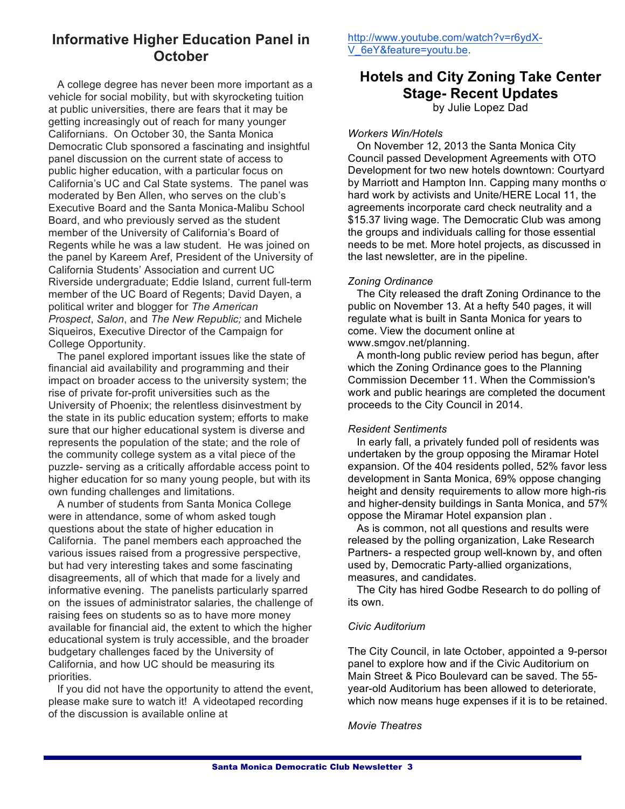### **Informative Higher Education Panel in October**

 A college degree has never been more important as a vehicle for social mobility, but with skyrocketing tuition at public universities, there are fears that it may be getting increasingly out of reach for many younger Californians. On October 30, the Santa Monica Democratic Club sponsored a fascinating and insightful panel discussion on the current state of access to public higher education, with a particular focus on California's UC and Cal State systems. The panel was moderated by Ben Allen, who serves on the club's Executive Board and the Santa Monica-Malibu School Board, and who previously served as the student member of the University of California's Board of Regents while he was a law student. He was joined on the panel by Kareem Aref, President of the University of California Students' Association and current UC Riverside undergraduate; Eddie Island, current full-term member of the UC Board of Regents; David Dayen, a political writer and blogger for *The American Prospect*, *Salon*, and *The New Republic;* and Michele Siqueiros, Executive Director of the Campaign for College Opportunity.

 The panel explored important issues like the state of financial aid availability and programming and their impact on broader access to the university system; the rise of private for-profit universities such as the University of Phoenix; the relentless disinvestment by the state in its public education system; efforts to make sure that our higher educational system is diverse and represents the population of the state; and the role of the community college system as a vital piece of the puzzle- serving as a critically affordable access point to higher education for so many young people, but with its own funding challenges and limitations.

 A number of students from Santa Monica College were in attendance, some of whom asked tough questions about the state of higher education in California. The panel members each approached the various issues raised from a progressive perspective, but had very interesting takes and some fascinating disagreements, all of which that made for a lively and informative evening. The panelists particularly sparred on the issues of administrator salaries, the challenge of raising fees on students so as to have more money available for financial aid, the extent to which the higher educational system is truly accessible, and the broader budgetary challenges faced by the University of California, and how UC should be measuring its priorities.

 If you did not have the opportunity to attend the event, please make sure to watch it! A videotaped recording of the discussion is available online at

http://www.youtube.com/watch?v=r6ydX-V\_6eY&feature=youtu.be.

## **Hotels and City Zoning Take Center Stage- Recent Updates**

by Julie Lopez Dad

### *Workers Win/Hotels*

 On November 12, 2013 the Santa Monica City Council passed Development Agreements with OTO Development for two new hotels downtown: Courtyard by Marriott and Hampton Inn. Capping many months of hard work by activists and Unite/HERE Local 11, the agreements incorporate card check neutrality and a \$15.37 living wage. The Democratic Club was among the groups and individuals calling for those essential needs to be met. More hotel projects, as discussed in the last newsletter, are in the pipeline.

### *Zoning Ordinance*

 The City released the draft Zoning Ordinance to the public on November 13. At a hefty 540 pages, it will regulate what is built in Santa Monica for years to come. View the document online at www.smgov.net/planning.

 A month-long public review period has begun, after which the Zoning Ordinance goes to the Planning Commission December 11. When the Commission's work and public hearings are completed the document proceeds to the City Council in 2014.

### *Resident Sentiments*

 In early fall, a privately funded poll of residents was undertaken by the group opposing the Miramar Hotel expansion. Of the 404 residents polled, 52% favor less development in Santa Monica, 69% oppose changing height and density requirements to allow more high-ris and higher-density buildings in Santa Monica, and 57% oppose the Miramar Hotel expansion plan .

 As is common, not all questions and results were released by the polling organization, Lake Research Partners- a respected group well-known by, and often used by, Democratic Party-allied organizations, measures, and candidates.

 The City has hired Godbe Research to do polling of its own.

### *Civic Auditorium*

The City Council, in late October, appointed a 9-person panel to explore how and if the Civic Auditorium on Main Street & Pico Boulevard can be saved. The 55 year-old Auditorium has been allowed to deteriorate, which now means huge expenses if it is to be retained.

### *Movie Theatres*